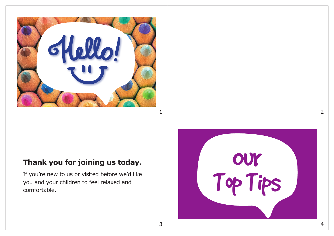

## **Thank you for joining us today.**

If you're new to us or visited before we'd like you and your children to feel relaxed and comfortable.

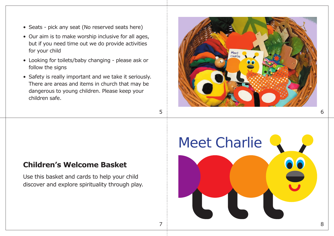- Seats pick any seat (No reserved seats here)
- Our aim is to make worship inclusive for all ages, but if you need time out we do provide activities for your child
- Looking for toilets/baby changing please ask or follow the signs
- Safety is really important and we take it seriously. There are areas and items in church that may be dangerous to young children. Please keep your children safe.



#### **Children's Welcome Basket**

Use this basket and cards to help your child discover and explore spirituality through play.

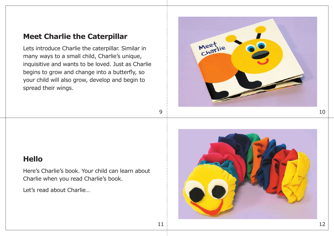### **Meet Charlie the Caterpillar**

Lets introduce Charlie the caterpillar. Similar in many ways to a small child, Charlie's unique, inquisitive and wants to be loved. Just as Charlie begins to grow and change into a butterfly, so your child will also grow, develop and begin to spread their wings.



### **Hello**

Here's Charlie's book. Your child can learn about Charlie when you read Charlie's book.

Let's read about Charlie…

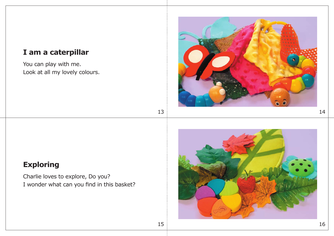## **I am a caterpillar**

You can play with me. Look at all my lovely colours.



# **Exploring**

Charlie loves to explore, Do you? I wonder what can you find in this basket?

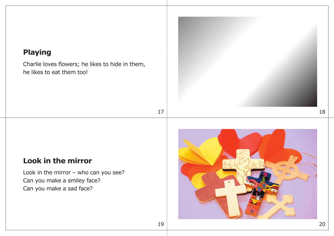# **Playing**

Charlie loves flowers; he likes to hide in them, he likes to eat them too!



# **Look in the mirror**

Look in the mirror – who can you see? Can you make a smiley face? Can you make a sad face?

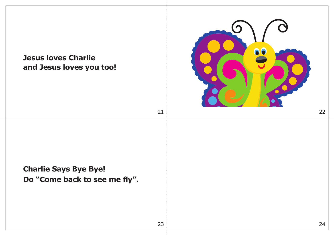